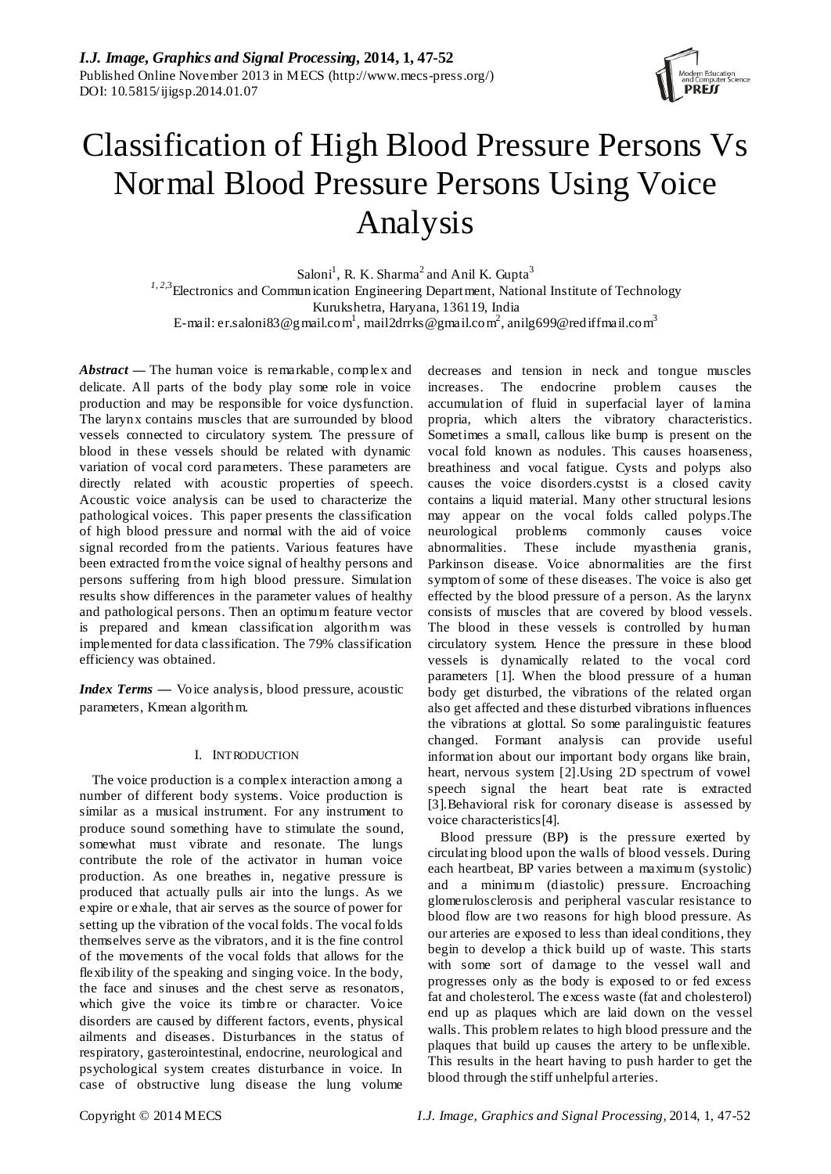

# Classification of High Blood Pressure Persons Vs Normal Blood Pressure Persons Using Voice Analysis

Saloni<sup>1</sup>, R. K. Sharma<sup>2</sup> and Anil K. Gupta<sup>3</sup> <sup>1, 2,3</sup> Electronics and Communication Engineering Department, National Institute of Technology Kurukshetra, Haryana, 136119, India E-mail: er.saloni83@gmail.com<sup>1</sup>, mail2drrks@gmail.com<sup>2</sup>, anilg699@rediffmail.com<sup>3</sup>

*Abstract* **—** The human voice is remarkable, complex and delicate. All parts of the body play some role in voice production and may be responsible for voice dysfunction. The larynx contains muscles that are surrounded by blood vessels connected to circulatory system. The pressure of blood in these vessels should be related with dynamic variation of vocal cord parameters. These parameters are directly related with acoustic properties of speech. Acoustic voice analysis can be used to characterize the pathological voices. This paper presents the classification of high blood pressure and normal with the aid of voice signal recorded from the patients. Various features have been extracted from the voice signal of healthy persons and persons suffering from high blood pressure. Simulation results show differences in the parameter values of healthy and pathological persons. Then an optimum feature vector is prepared and kmean classification algorithm was implemented for data classification. The 79% classification efficiency was obtained.

*Index Terms —* Voice analysis, blood pressure, acoustic parameters, Kmean algorithm.

# I. INTRODUCTION

The voice production is a complex interaction among a number of different body systems. Voice production is similar as a musical instrument. For any instrument to produce sound something have to stimulate the sound, somewhat must vibrate and resonate. The lungs contribute the role of the activator in human voice production. As one breathes in, negative pressure is produced that actually pulls air into the lungs. As we expire or exhale, that air serves as the source of power for setting up the vibration of the vocal folds. The vocal folds themselves serve as the vibrators, and it is the fine control of the movements of the vocal folds that allows for the flexibility of the speaking and singing voice. In the body, the face and sinuses and the chest serve as resonators, which give the voice its timbre or character. Voice disorders are caused by different factors, events, physical ailments and diseases. Disturbances in the status of respiratory, gasterointestinal, endocrine, neurological and psychological system creates disturbance in voice. In case of obstructive lung disease the lung volume

decreases and tension in neck and tongue muscles increases. The endocrine problem causes the accumulation of fluid in superfacial layer of lamina propria, which alters the vibratory characteristics. Sometimes a small, callous like bump is present on the vocal fold known as nodules. This causes hoarseness, breathiness and vocal fatigue. Cysts and polyps also causes the voice disorders.cystst is a closed cavity contains a liquid material. Many other structural lesions may appear on the vocal folds called polyps.The neurological problems commonly causes voice abnormalities. These include myasthenia granis, Parkinson disease. Voice abnormalities are the first symptom of some of these diseases. The voice is also get effected by the blood pressure of a person. As the larynx consists of muscles that are covered by blood vessels. The blood in these vessels is controlled by human circulatory system. Hence the pressure in these blood vessels is dynamically related to the vocal cord parameters [1]. When the blood pressure of a human body get disturbed, the vibrations of the related organ also get affected and these disturbed vibrations influences the vibrations at glottal. So some paralinguistic features changed. Formant analysis can provide useful information about our important body organs like brain, heart, nervous system [2].Using 2D spectrum of vowel speech signal the heart beat rate is extracted [3].Behavioral risk for coronary disease is assessed by voice characteristics[4].

Blood pressure (BP**)** is the pressure exerted by circulating blood upon the walls of blood vessels. During each heartbeat, BP varies between a maximum (systolic) and a minimum (diastolic) pressure. Encroaching glomerulosclerosis and peripheral vascular resistance to blood flow are two reasons for high blood pressure. As our arteries are exposed to less than ideal conditions, they begin to develop a thick build up of waste. This starts with some sort of damage to the vessel wall and progresses only as the body is exposed to or fed excess fat and cholesterol. The excess waste (fat and cholesterol) end up as plaques which are laid down on the vessel walls. This problem relates to high blood pressure and the plaques that build up causes the artery to be unflexible. This results in the heart having to push harder to get the blood through the stiff unhelpful arteries.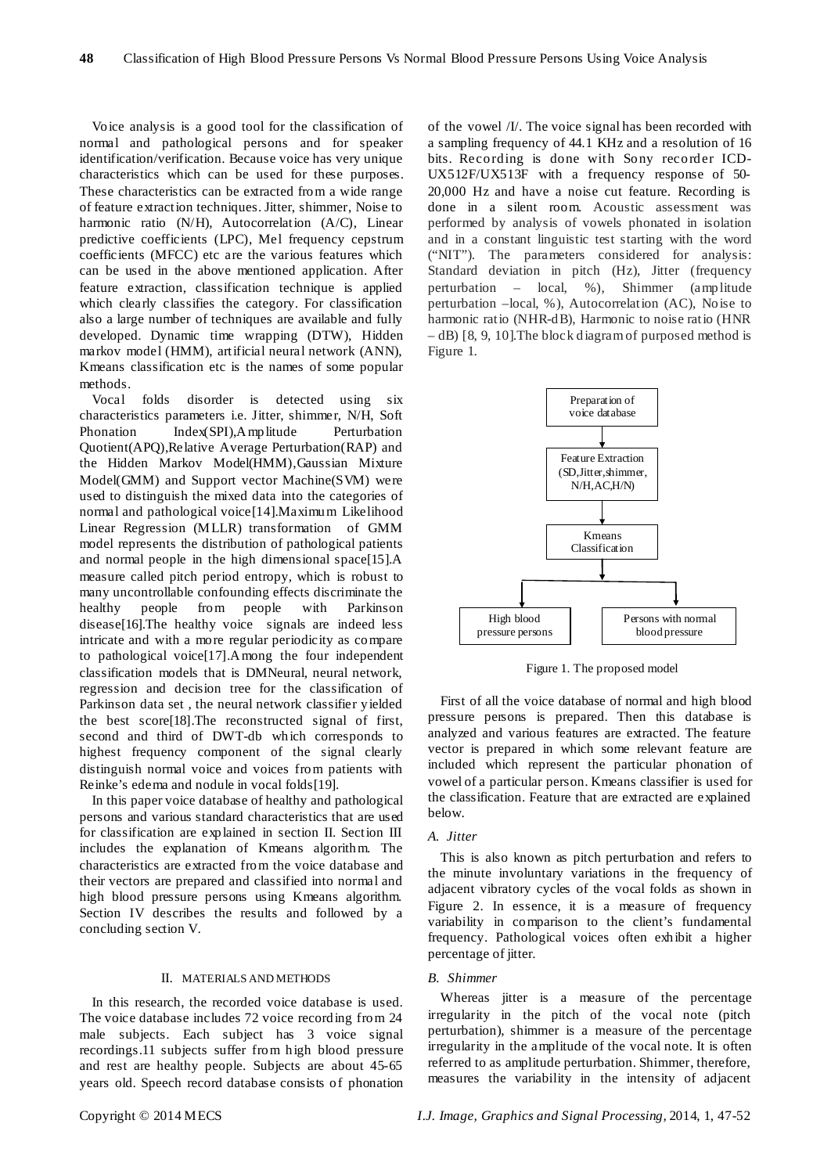Voice analysis is a good tool for the classification of normal and pathological persons and for speaker identification/verification. Because voice has very unique characteristics which can be used for these purposes. These characteristics can be extracted from a wide range of feature extraction techniques. Jitter, shimmer, Noise to harmonic ratio (N/H), Autocorrelation (A/C), Linear predictive coefficients (LPC), Mel frequency cepstrum coefficients (MFCC) etc are the various features which can be used in the above mentioned application. After feature extraction, classification technique is applied which clearly classifies the category. For classification also a large number of techniques are available and fully developed. Dynamic time wrapping (DTW), Hidden markov model (HMM), artificial neural network (ANN), Kmeans classification etc is the names of some popular methods.

Vocal folds disorder is detected using six characteristics parameters i.e. Jitter, shimmer, N/H, Soft Phonation Index(SPI),Amplitude Perturbation Quotient(APQ),Relative Average Perturbation(RAP) and the Hidden Markov Model(HMM),Gaussian Mixture Model(GMM) and Support vector Machine(SVM) were used to distinguish the mixed data into the categories of normal and pathological voice[14].Maximum Likelihood Linear Regression (MLLR) transformation of GMM model represents the distribution of pathological patients and normal people in the high dimensional space[15].A measure called pitch period entropy, which is robust to many uncontrollable confounding effects discriminate the healthy people from people with Parkinson disease[16].The healthy voice signals are indeed less intricate and with a more regular periodicity as compare to pathological voice[17].Among the four independent classification models that is DMNeural, neural network, regression and decision tree for the classification of Parkinson data set , the neural network classifier yielded the best score[18].The reconstructed signal of first, second and third of DWT-db which corresponds to highest frequency component of the signal clearly distinguish normal voice and voices from patients with Reinke's edema and nodule in vocal folds[19].

In this paper voice database of healthy and pathological persons and various standard characteristics that are used for classification are explained in section II. Section III includes the explanation of Kmeans algorithm. The characteristics are extracted from the voice database and their vectors are prepared and classified into normal and high blood pressure persons using Kmeans algorithm. Section IV describes the results and followed by a concluding section V.

## II. MATERIALS AND METHODS

In this research, the recorded voice database is used. The voice database includes 72 voice recording from 24 male subjects. Each subject has 3 voice signal recordings.11 subjects suffer from high blood pressure and rest are healthy people. Subjects are about 45-65 years old. Speech record database consists of phonation

of the vowel /I/. The voice signal has been recorded with a sampling frequency of 44.1 KHz and a resolution of 16 bits. Recording is done with Sony recorder ICD-UX512F/UX513F with a frequency response of 50- 20,000 Hz and have a noise cut feature. Recording is done in a silent room. Acoustic assessment was performed by analysis of vowels phonated in isolation and in a constant linguistic test starting with the word ("NIT"). The parameters considered for analysis: Standard deviation in pitch (Hz), Jitter (frequency perturbation – local, %), Shimmer (amplitude perturbation –local, %), Autocorrelation (AC), Noise to harmonic ratio (NHR-dB), Harmonic to noise ratio (HNR – dB) [8, 9, 10]*.*The block diagram of purposed method is Figure 1.



Figure 1. The proposed model

First of all the voice database of normal and high blood pressure persons is prepared. Then this database is analyzed and various features are extracted. The feature vector is prepared in which some relevant feature are included which represent the particular phonation of vowel of a particular person. Kmeans classifier is used for the classification. Feature that are extracted are explained below.

## *A. Jitter*

This is also known as pitch perturbation and refers to the minute involuntary variations in the frequency of adjacent vibratory cycles of the vocal folds as shown in Figure 2. In essence, it is a measure of frequency variability in comparison to the client's fundamental frequency. Pathological voices often exhibit a higher percentage of jitter.

# *B. Shimmer*

Whereas jitter is a measure of the percentage irregularity in the pitch of the vocal note (pitch perturbation), shimmer is a measure of the percentage irregularity in the amplitude of the vocal note. It is often referred to as amplitude perturbation. Shimmer, therefore, measures the variability in the intensity of adjacent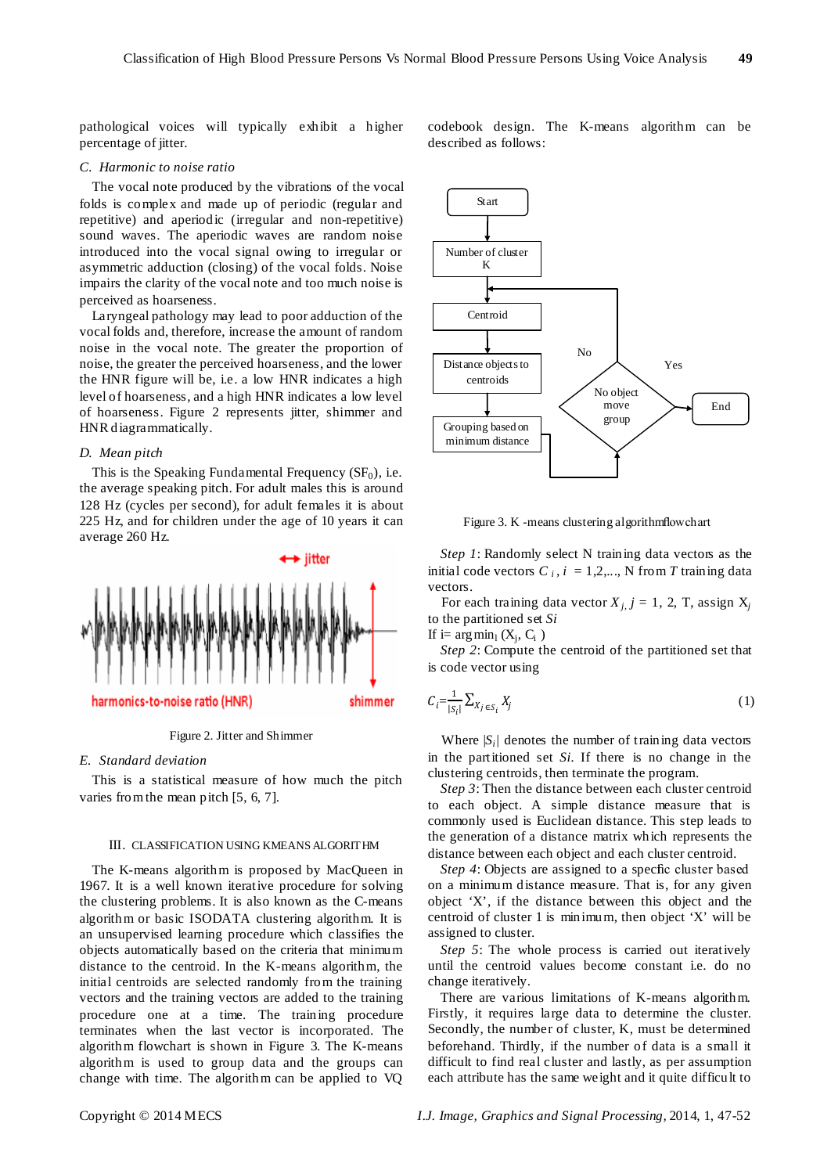pathological voices will typically exhibit a higher percentage of jitter.

#### *C. Harmonic to noise ratio*

The vocal note produced by the vibrations of the vocal folds is complex and made up of periodic (regular and repetitive) and aperiodic (irregular and non-repetitive) sound waves. The aperiodic waves are random noise introduced into the vocal signal owing to irregular or asymmetric adduction (closing) of the vocal folds. Noise impairs the clarity of the vocal note and too much noise is perceived as hoarseness.

Laryngeal pathology may lead to poor adduction of the vocal folds and, therefore, increase the amount of random noise in the vocal note. The greater the proportion of noise, the greater the perceived hoarseness, and the lower the HNR figure will be, i.e. a low HNR indicates a high level of hoarseness, and a high HNR indicates a low level of hoarseness. Figure 2 represents jitter, shimmer and HNR diagrammatically.

#### *D. Mean pitch*

This is the Speaking Fundamental Frequency  $(SF_0)$ , i.e. the average speaking pitch. For adult males this is around 128 Hz (cycles per second), for adult females it is about 225 Hz, and for children under the age of 10 years it can average 260 Hz.



Figure 2. Jitter and Shimmer

# *E. Standard deviation*

This is a statistical measure of how much the pitch varies from the mean pitch [5, 6, 7].

## III. CLASSIFICATION USING KMEANS ALGORITHM

The K-means algorithm is proposed by MacQueen in 1967. It is a well known iterative procedure for solving the clustering problems. It is also known as the C-means algorithm or basic ISODATA clustering algorithm. It is an unsupervised learning procedure which classifies the objects automatically based on the criteria that minimum distance to the centroid. In the K-means algorithm, the initial centroids are selected randomly from the training vectors and the training vectors are added to the training procedure one at a time. The training procedure terminates when the last vector is incorporated. The algorithm flowchart is shown in Figure 3. The K-means algorithm is used to group data and the groups can change with time. The algorithm can be applied to VQ codebook design. The K-means algorithm can be described as follows:



Figure 3. K -means clustering algorithm flow chart

*Step 1*: Randomly select N training data vectors as the initial code vectors  $C_i$ ,  $i = 1,2,..., N$  from *T* training data vectors.

For each training data vector  $X_{i,j}$   $j = 1, 2, T$ , assign  $X_{j}$ to the partitioned set *Si*

If i=  $argmin_1(X_i, C_i)$ 

*Step 2*: Compute the centroid of the partitioned set that is code vector using

$$
C_i = \frac{1}{|S_i|} \sum_{X_j \in S_i} X_j \tag{1}
$$

Where  $|S_i|$  denotes the number of training data vectors in the partitioned set *Si.* If there is no change in the clustering centroids, then terminate the program.

*Step 3*: Then the distance between each cluster centroid to each object. A simple distance measure that is commonly used is Euclidean distance. This step leads to the generation of a distance matrix which represents the distance between each object and each cluster centroid.

*Step 4*: Objects are assigned to a specfic cluster based on a minimum distance measure. That is, for any given object 'X', if the distance between this object and the centroid of cluster 1 is minimum, then object 'X' will be assigned to cluster.

*Step 5*: The whole process is carried out iteratively until the centroid values become constant i.e. do no change iteratively.

There are various limitations of K-means algorithm. Firstly, it requires large data to determine the cluster. Secondly, the number of cluster, K, must be determined beforehand. Thirdly, if the number of data is a small it difficult to find real cluster and lastly, as per assumption each attribute has the same weight and it quite difficult to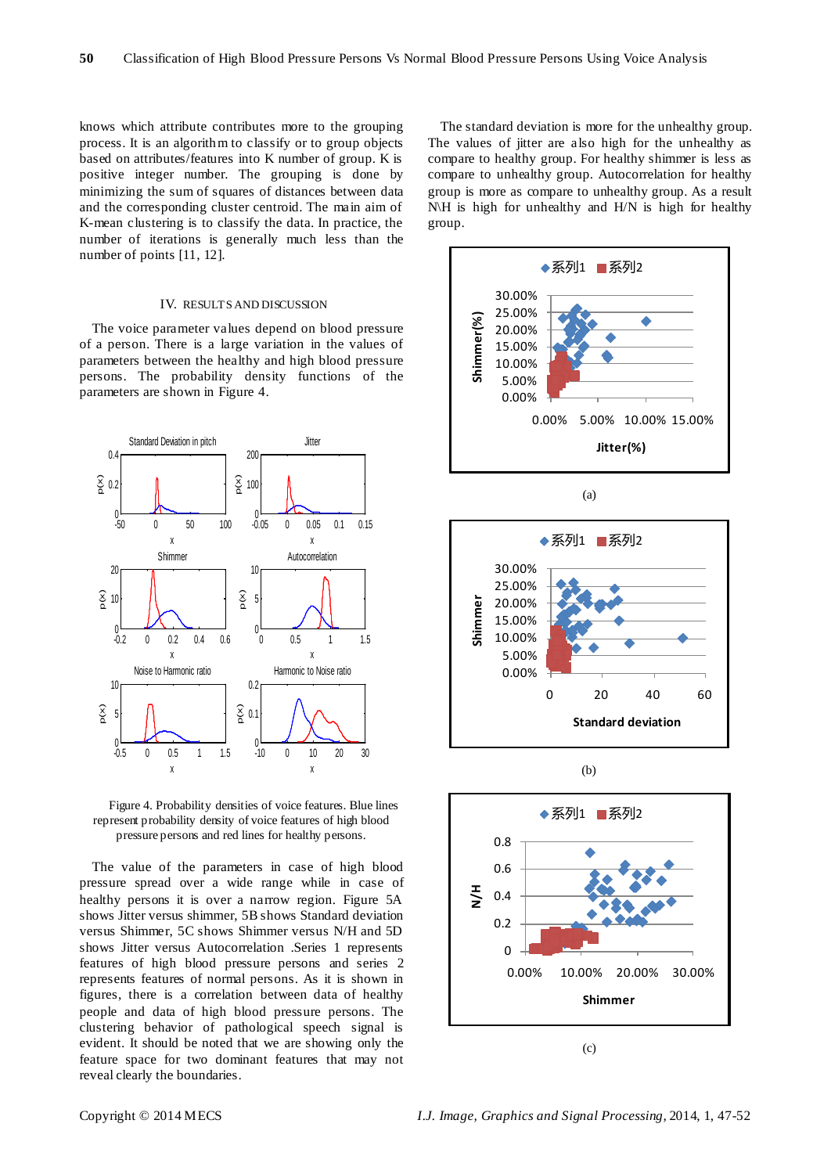knows which attribute contributes more to the grouping process. It is an algorithm to classify or to group objects based on attributes/features into K number of group. K is positive integer number. The grouping is done by minimizing the sum of squares of distances between data and the corresponding cluster centroid. The main aim of K-mean clustering is to classify the data. In practice, the number of iterations is generally much less than the number of points [11, 12].

#### IV. RESULTS AND DISCUSSION

The voice parameter values depend on blood pressure of a person. There is a large variation in the values of parameters between the healthy and high blood pressure persons. The probability density functions of the parameters are shown in Figure 4.



Figure 4. Probability densities of voice features. Blue lines represent probability density of voice features of high blood pressure persons and red lines for healthy persons.

The value of the parameters in case of high blood pressure spread over a wide range while in case of healthy persons it is over a narrow region. Figure 5A shows Jitter versus shimmer, 5B shows Standard deviation versus Shimmer, 5C shows Shimmer versus N/H and 5D shows Jitter versus Autocorrelation .Series 1 represents features of high blood pressure persons and series 2 represents features of normal persons. As it is shown in figures, there is a correlation between data of healthy people and data of high blood pressure persons. The clustering behavior of pathological speech signal is evident. It should be noted that we are showing only the feature space for two dominant features that may not reveal clearly the boundaries.

The standard deviation is more for the unhealthy group. The values of jitter are also high for the unhealthy as compare to healthy group. For healthy shimmer is less as compare to unhealthy group. Autocorrelation for healthy group is more as compare to unhealthy group. As a result N\H is high for unhealthy and H/N is high for healthy group.







(b)



(c)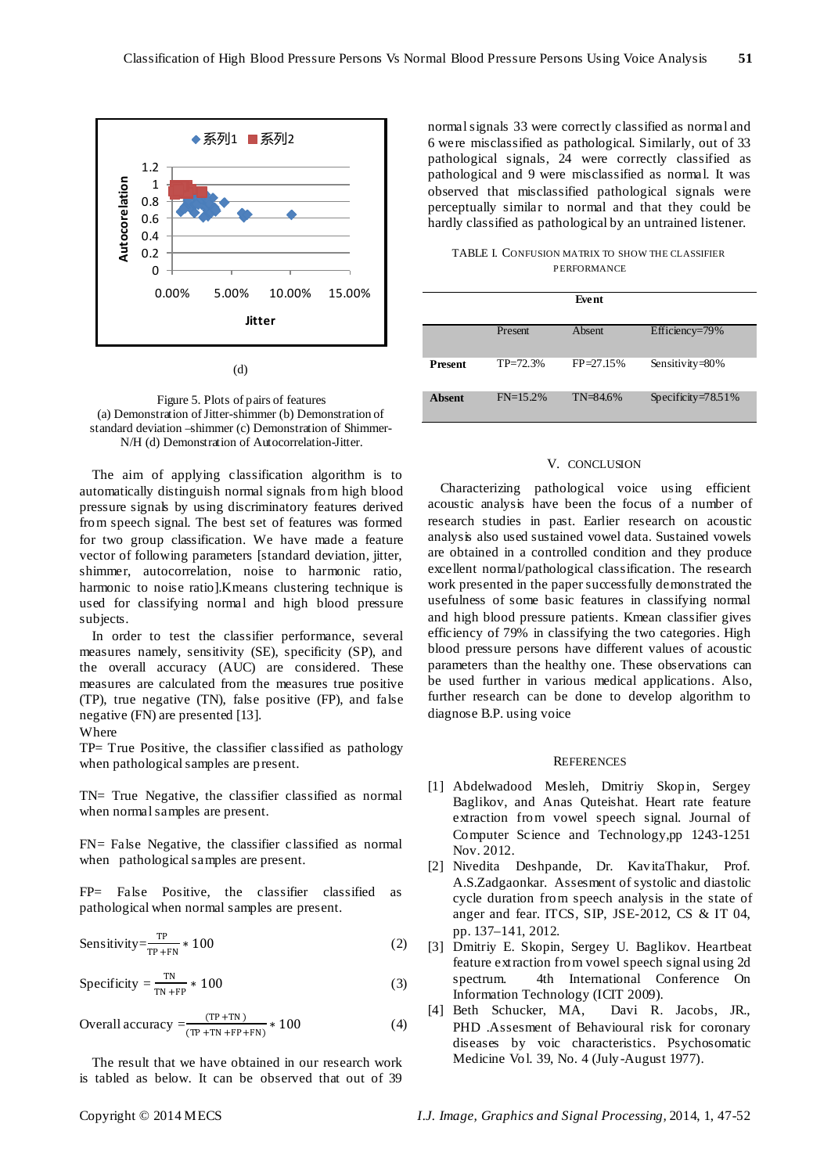

(d)

Figure 5. Plots of pairs of features (a) Demonstration of Jitter-shimmer (b) Demonstration of standard deviation –shimmer (c) Demonstration of Shimmer-N/H (d) Demonstration of Autocorrelation-Jitter.

The aim of applying classification algorithm is to automatically distinguish normal signals from high blood pressure signals by using discriminatory features derived from speech signal. The best set of features was formed for two group classification. We have made a feature vector of following parameters [standard deviation, jitter, shimmer, autocorrelation, noise to harmonic ratio, harmonic to noise ratio].Kmeans clustering technique is used for classifying normal and high blood pressure subjects.

In order to test the classifier performance, several measures namely, sensitivity (SE), specificity (SP), and the overall accuracy (AUC) are considered. These measures are calculated from the measures true positive (TP), true negative (TN), false positive (FP), and false negative (FN) are presented [13].

## Where

TP= True Positive, the classifier classified as pathology when pathological samples are present.

TN= True Negative, the classifier classified as normal when normal samples are present.

FN= False Negative, the classifier classified as normal when pathological samples are present.

FP= False Positive, the classifier classified as pathological when normal samples are present.

Sensitivity=
$$
\frac{\text{TP}}{\text{TP} + \text{FN}} * 100
$$
 (2)

$$
Specificity = \frac{TN}{TN + FP} * 100
$$
 (3)

Overall accuracy 
$$
=\frac{(TP + TN)}{(TP + TN + FP + FN)}
$$
 \* 100 (4)

The result that we have obtained in our research work is tabled as below. It can be observed that out of 39 normal signals 33 were correctly classified as normal and 6 were misclassified as pathological. Similarly, out of 33 pathological signals, 24 were correctly classified as pathological and 9 were misclassified as normal. It was observed that misclassified pathological signals were perceptually similar to normal and that they could be hardly classified as pathological by an untrained listener.

TABLE I. CONFUSION MATRIX TO SHOW THE CLASSIFIER **PERFORMANCE** 

|                |              | Event         |                        |
|----------------|--------------|---------------|------------------------|
|                | Present      | <b>Absent</b> | Efficiency=79%         |
| <b>Present</b> | $TP = 72.3%$ | $FP = 27.15%$ | Sensitivity= $80\%$    |
| <b>A</b> bsent | $FN=15.2%$   | $TN = 84.6%$  | Specificity= $78.51\%$ |

# V. CONCLUSION

Characterizing pathological voice using efficient acoustic analysis have been the focus of a number of research studies in past. Earlier research on acoustic analysis also used sustained vowel data. Sustained vowels are obtained in a controlled condition and they produce excellent normal/pathological classification. The research work presented in the paper successfully demonstrated the usefulness of some basic features in classifying normal and high blood pressure patients. Kmean classifier gives efficiency of 79% in classifying the two categories. High blood pressure persons have different values of acoustic parameters than the healthy one. These observations can be used further in various medical applications. Also, further research can be done to develop algorithm to diagnose B.P. using voice

#### **REFERENCES**

- [1] Abdelwadood Mesleh, Dmitriy Skopin, Sergey Baglikov, and Anas Quteishat. Heart rate feature extraction from vowel speech signal. Journal of Computer Science and Technology,pp 1243-1251 Nov. 2012.
- [2] Nivedita Deshpande, Dr. KavitaThakur, Prof. A.S.Zadgaonkar. Assesment of systolic and diastolic cycle duration from speech analysis in the state of anger and fear. ITCS, SIP, JSE-2012, CS & IT 04, pp. 137–141, 2012.
- [3] Dmitriy E. Skopin, Sergey U. Baglikov. Heartbeat feature extraction from vowel speech signal using 2d spectrum. 4th International Conference On Information Technology (ICIT 2009).<br>Beth Schucker, MA, Davi R. Jacobs, JR.,
- [4] Beth Schucker, MA, PHD .Assesment of Behavioural risk for coronary diseases by voic characteristics. Psychosomatic Medicine Vol. 39, No. 4 (July-August 1977).